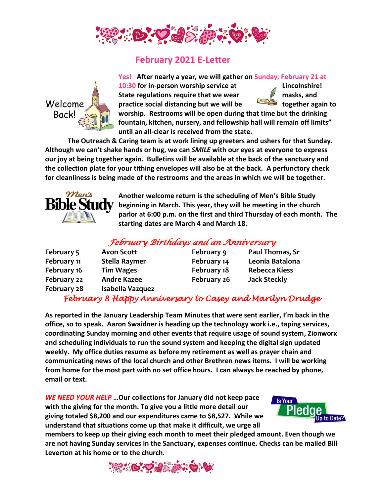

## **February 2021 E-Letter**



**Yes! After nearly a year, we will gather on Sunday, February 21 at 10:30 for in-person worship service at Lincolnshire!**  State regulations require that we wear *M* masks, and

**practice social distancing but we will be together again to** 

**worship. Restrooms will be open during that time but the drinking fountain, kitchen, nursery, and fellowship hall will remain off limits" until an all-clear is received from the state.** 

**The Outreach & Caring team is at work lining up greeters and ushers for that Sunday. Although we can't shake hands or hug, we can** *SMILE* **with our eyes at everyone to express our joy at being together again. Bulletins will be available at the back of the sanctuary and the collection plate for your tithing envelopes will also be at the back. A perfunctory check for cleanliness is being made of the restrooms and the areas in which we will be together.** 



**Another welcome return is the scheduling of Men's Bible Study beginning in March. This year, they will be meeting in the church parlor at 6:00 p.m. on the first and third Thursday of each month. The starting dates are March 4 and March 18.** 

## *February Birthdays and an Anniversary*

| February 5  | <b>Avon Scott</b>  | February 9  | Paul Thomas, Sr      |
|-------------|--------------------|-------------|----------------------|
| February 11 | Stella Raymer      | February 14 | Leonia Batalona      |
| February 16 | <b>Tim Wages</b>   | February 18 | <b>Rebecca Kiess</b> |
| February 22 | <b>Andre Kazee</b> | February 26 | <b>Jack Steckly</b>  |
| February 28 | Isabella Vazquez   |             |                      |

## *February 8 Happy Anniversary to Casey and Marilyn Drudge*

**As reported in the January Leadership Team Minutes that were sent earlier, I'm back in the office, so to speak. Aaron Swaidner is heading up the technology work i.e., taping services, coordinating Sunday morning and other events that require usage of sound system, Zionworx and scheduling individuals to run the sound system and keeping the digital sign updated weekly. My office duties resume as before my retirement as well as prayer chain and communicating news of the local church and other Brethren news items. I will be working from home for the most part with no set office hours. I can always be reached by phone, email or text.** 

*WE NEED YOUR HELP* **…Our collections for January did not keep pace with the giving for the month. To give you a little more detail our giving totaled \$8,200 and our expenditures came to \$8,527. While we understand that situations come up that make it difficult, we urge all** 



**members to keep up their giving each month to meet their pledged amount. Even though we are not having Sunday services in the Sanctuary, expenses continue. Checks can be mailed Bill Leverton at his home or to the church.**